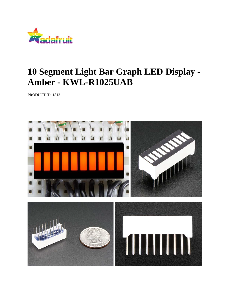

## **10 Segment Light Bar Graph LED Display - Amber - KWL-R1025UAB**

PRODUCT ID: 1813